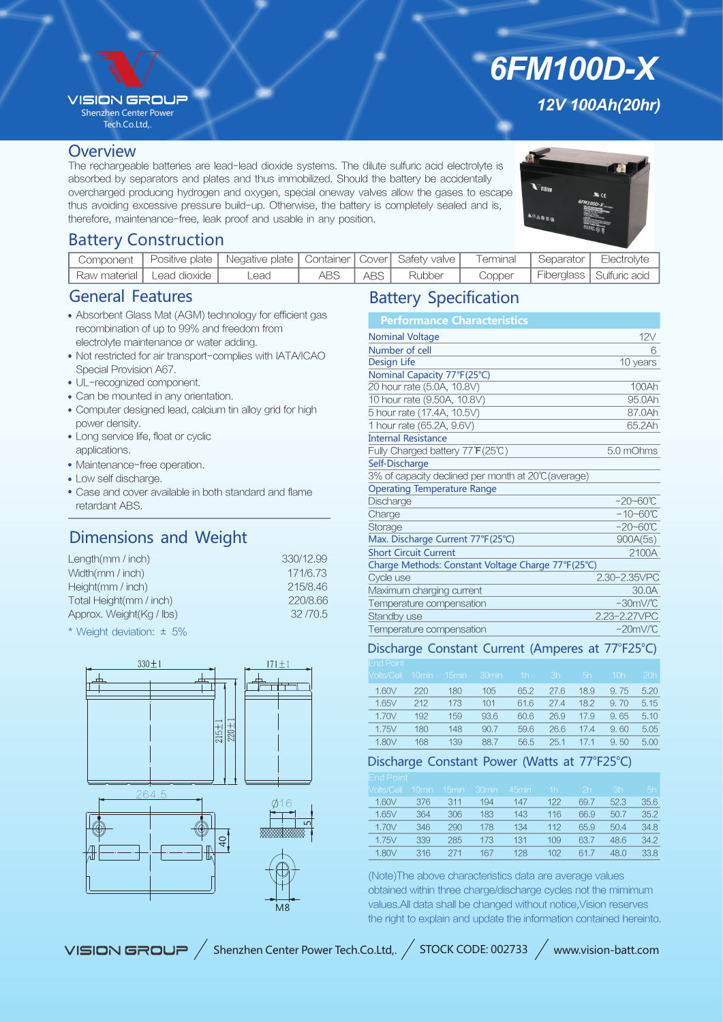### **VISION GROU?**

Shenzhen Center Power Tech.Co.Ltd,.

#### **Overview**

The rechargeable batteries are lead-lead dioxide systems. The dilute sulfuric acid electrolyte is absorbed by separators and plates and thus immobilized. Should the battery be accidentally overcharged producing hydrogen and oxygen, special oneway valves allow the gases to escape thus avoiding excessive pressure build-up. Otherwise, the battery is completely sealed and is, therefore, maintenance-free, leak proof and usable in any position.

# *12V 100Ah(20hr)*

*6FM100D-X*



## Battery Construction

|                              | Component   Positive plate   Negative plate   Container   Cover   Safety valve |     |       |        | Terminal | , Separator | Electrolyte                |
|------------------------------|--------------------------------------------------------------------------------|-----|-------|--------|----------|-------------|----------------------------|
| `Raw material   Lead dioxide | _ead                                                                           | ABS | ABS I | Rubber | Copper   |             | Fiberglass   Sulfuric acid |

## General Features

- Absorbent Glass Mat (AGM) technology for efficient gas recombination of up to 99% and freedom from electrolyte maintenance or water adding.
- Not restricted for air transport-complies with IATA/ICAO Special Provision A67.
- UL-recognized component.
- Can be mounted in any orientation.
- Computer designed lead, calcium tin alloy grid for high power density.
- Long service life, float or cyclic applications.
- Maintenance-free operation.
- Low self discharge.
- Case and cover available in both standard and flame retardant ABS.

# Dimensions and Weight

| Length $(mm / inch)$     | 330/12.99 |
|--------------------------|-----------|
| Width(mm / inch)         | 171/6.73  |
| Height(mm / inch)        | 215/8.46  |
| Total Height(mm / inch)  | 220/8.66  |
| Approx. Weight(Kg / lbs) | 32/70.5   |
|                          |           |

\* Weight deviation: ± 5%



## Battery Specification

| <b>Performance Characteristics</b>                  |                      |
|-----------------------------------------------------|----------------------|
| <b>Nominal Voltage</b>                              | 12V                  |
| Number of cell                                      | 6                    |
| Design Life                                         | 10 years             |
| Nominal Capacity 77°F(25°C)                         |                      |
| 20 hour rate (5.0A, 10.8V)                          | 100Ah                |
| 10 hour rate (9.50A, 10.8V)                         | 95.0Ah               |
| 5 hour rate (17.4A, 10.5V)                          | 87.0Ah               |
| 1 hour rate (65.2A, 9.6V)                           | 65.2Ah               |
| <b>Internal Resistance</b>                          |                      |
| Fully Charged battery 77°F(25℃)                     | 5.0 mOhms            |
| Self-Discharge                                      |                      |
| 3% of capacity declined per month at 20°C (average) |                      |
| <b>Operating Temperature Range</b>                  |                      |
| Discharge                                           | $-20 - 60^{\circ}C$  |
| Charge                                              | $-10 - 60^{\circ}C$  |
| Storage                                             | $-20 - 60^{\circ}C$  |
| Max. Discharge Current 77°F(25°C)                   | 900A(5s)             |
| <b>Short Circuit Current</b>                        | 2100A                |
| Charge Methods: Constant Voltage Charge 77°F(25°C)  |                      |
| Cycle use                                           | 2.30-2.35VPC         |
| Maximum charging current                            | 30.0A                |
| Temperature compensation                            | $-30mV$ <sup>C</sup> |
| Standby use                                         | 2.23-2.27VPC         |
| Temperature compensation                            | $-20mV$ <sup>C</sup> |

#### Discharge Constant Current (Amperes at 77°F25°C)

| <b>End Point</b> |                   |                   |                   |                |      |      |                 |      |
|------------------|-------------------|-------------------|-------------------|----------------|------|------|-----------------|------|
| Volts/Cell       | 10 <sub>min</sub> | 15 <sub>min</sub> | 30 <sub>min</sub> | 1 <sub>h</sub> | 3h   | 5h   | 10 <sub>h</sub> | 20h  |
| 1.60V            | 220               | 180               | 105               | 65.2           | 27.6 | 18.9 | 9.75            | 5.20 |
| 1.65V            | 212               | 173               | 101               | 61.6           | 274  | 18.2 | 9.70            | 5.15 |
| 1.70V            | 192               | 159               | 93.6              | 60.6           | 26.9 | 17.9 | 9.65            | 5.10 |
| 1.75V            | 180               | 148               | 90.7              | 59.6           | 26.6 | 17.4 | 9.60            | 5.05 |
| 1.80V            | 168               | 139               | 88.7              | 56.5           | 25.1 | 17.1 | 9.50            | 5.00 |

## Discharge Constant Power (Watts at 77°F25°C)

| Molts/Cell | 10 <sub>min</sub> | 15 <sub>min</sub> | 30min | 45min | 1h  | 2 <sub>h</sub> | 3h   | 5h   |
|------------|-------------------|-------------------|-------|-------|-----|----------------|------|------|
| 1.60V      | 376               | 311               | 194   | 147   | 122 | 69.7           | 52.3 | 35.6 |
| 1.65V      | 364               | 306               | 183   | 143   | 116 | 66.9           | 50.7 | 35.2 |
| 1.70V      | 346               | 290               | 178   | 134   | 112 | 65.9           | 50.4 | 34.8 |
| 1.75V      | 339               | 285               | 173   | 131   | 109 | 63.7           | 48.6 | 34.2 |
| 1.80V      | 316               | 271               | 167   | 128   | 102 | 61.7           | 48.0 | 33.8 |
|            |                   |                   |       |       |     |                |      |      |

(Note)The above characteristics data are average values obtained within three charge/discharge cycles not the mimimum values.All data shall be changed without notice,Vision reserves the right to explain and update the information contained hereinto.

VISION GROUP / Shenzhen Center Power Tech.Co.Ltd,. / STOCK CODE: 002733 / www.vision-batt.com